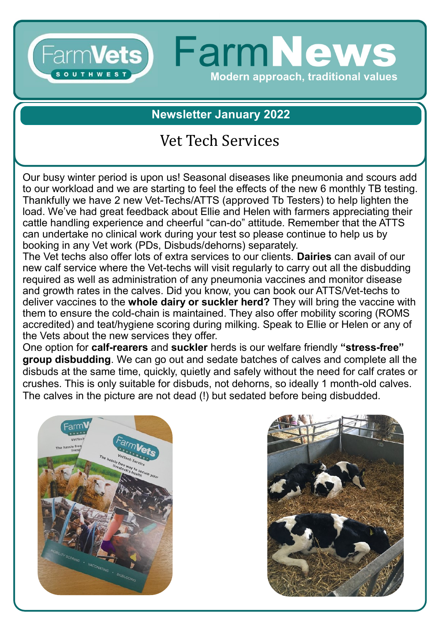#### **FarmNews FarmVets1 SOUTHWES Modern approach, traditional values**

**Newsletter January 2022**

# Vet Tech Services

Our busy winter period is upon us! Seasonal diseases like pneumonia and scours add to our workload and we are starting to feel the effects of the new 6 monthly TB testing. Thankfully we have 2 new Vet-Techs/ATTS (approved Tb Testers) to help lighten the load. We've had great feedback about Ellie and Helen with farmers appreciating their cattle handling experience and cheerful "can-do" attitude. Remember that the ATTS can undertake no clinical work during your test so please continue to help us by booking in any Vet work (PDs, Disbuds/dehorns) separately.

The Vet techs also offer lots of extra services to our clients. **Dairies** can avail of our new calf service where the Vet-techs will visit regularly to carry out all the disbudding required as well as administration of any pneumonia vaccines and monitor disease and growth rates in the calves. Did you know, you can book our ATTS/Vet-techs to deliver vaccines to the **whole dairy or suckler herd?** They will bring the vaccine with them to ensure the cold-chain is maintained. They also offer mobility scoring (ROMS accredited) and teat/hygiene scoring during milking. Speak to Ellie or Helen or any of the Vets about the new services they offer.

One option for **calf-rearers** and **suckler** herds is our welfare friendly **"stress-free" group disbudding**. We can go out and sedate batches of calves and complete all the disbuds at the same time, quickly, quietly and safely without the need for calf crates or crushes. This is only suitable for disbuds, not dehorns, so ideally 1 month-old calves. The calves in the picture are not dead (!) but sedated before being disbudded.